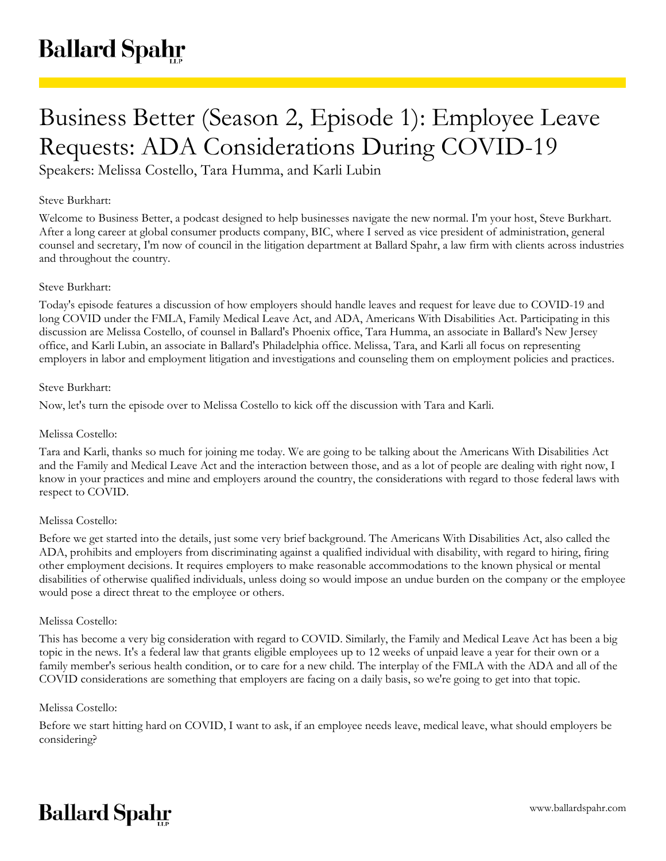# Business Better (Season 2, Episode 1): Employee Leave Requests: ADA Considerations During COVID-19

Speakers: Melissa Costello, Tara Humma, and Karli Lubin

# Steve Burkhart:

Welcome to Business Better, a podcast designed to help businesses navigate the new normal. I'm your host, Steve Burkhart. After a long career at global consumer products company, BIC, where I served as vice president of administration, general counsel and secretary, I'm now of council in the litigation department at Ballard Spahr, a law firm with clients across industries and throughout the country.

# Steve Burkhart:

Today's episode features a discussion of how employers should handle leaves and request for leave due to COVID-19 and long COVID under the FMLA, Family Medical Leave Act, and ADA, Americans With Disabilities Act. Participating in this discussion are Melissa Costello, of counsel in Ballard's Phoenix office, Tara Humma, an associate in Ballard's New Jersey office, and Karli Lubin, an associate in Ballard's Philadelphia office. Melissa, Tara, and Karli all focus on representing employers in labor and employment litigation and investigations and counseling them on employment policies and practices.

## Steve Burkhart:

Now, let's turn the episode over to Melissa Costello to kick off the discussion with Tara and Karli.

## Melissa Costello:

Tara and Karli, thanks so much for joining me today. We are going to be talking about the Americans With Disabilities Act and the Family and Medical Leave Act and the interaction between those, and as a lot of people are dealing with right now, I know in your practices and mine and employers around the country, the considerations with regard to those federal laws with respect to COVID.

#### Melissa Costello:

Before we get started into the details, just some very brief background. The Americans With Disabilities Act, also called the ADA, prohibits and employers from discriminating against a qualified individual with disability, with regard to hiring, firing other employment decisions. It requires employers to make reasonable accommodations to the known physical or mental disabilities of otherwise qualified individuals, unless doing so would impose an undue burden on the company or the employee would pose a direct threat to the employee or others.

#### Melissa Costello:

This has become a very big consideration with regard to COVID. Similarly, the Family and Medical Leave Act has been a big topic in the news. It's a federal law that grants eligible employees up to 12 weeks of unpaid leave a year for their own or a family member's serious health condition, or to care for a new child. The interplay of the FMLA with the ADA and all of the COVID considerations are something that employers are facing on a daily basis, so we're going to get into that topic.

#### Melissa Costello:

Before we start hitting hard on COVID, I want to ask, if an employee needs leave, medical leave, what should employers be considering?

# **Ballard Spahr**

www.ballardspahr.com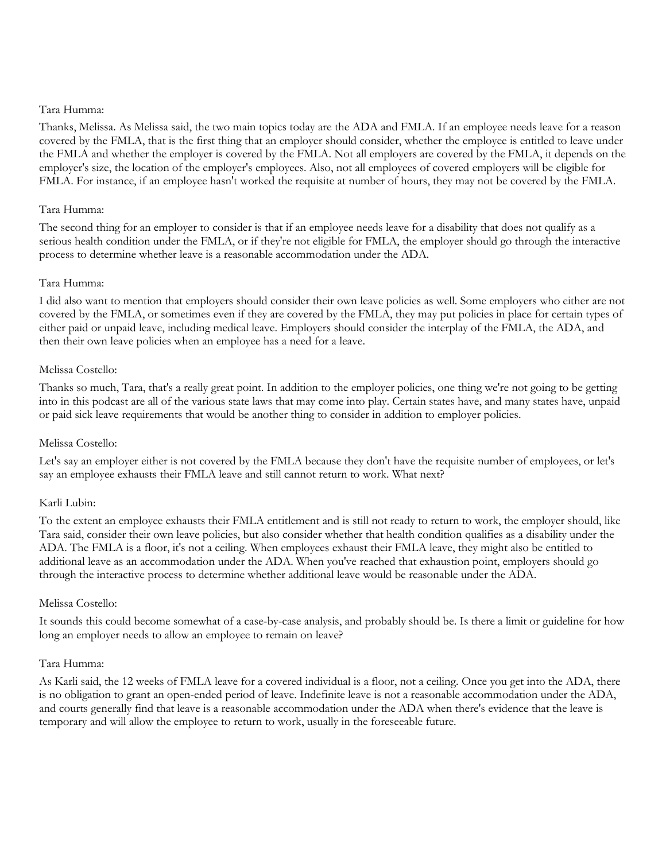## Tara Humma:

Thanks, Melissa. As Melissa said, the two main topics today are the ADA and FMLA. If an employee needs leave for a reason covered by the FMLA, that is the first thing that an employer should consider, whether the employee is entitled to leave under the FMLA and whether the employer is covered by the FMLA. Not all employers are covered by the FMLA, it depends on the employer's size, the location of the employer's employees. Also, not all employees of covered employers will be eligible for FMLA. For instance, if an employee hasn't worked the requisite at number of hours, they may not be covered by the FMLA.

## Tara Humma:

The second thing for an employer to consider is that if an employee needs leave for a disability that does not qualify as a serious health condition under the FMLA, or if they're not eligible for FMLA, the employer should go through the interactive process to determine whether leave is a reasonable accommodation under the ADA.

## Tara Humma:

I did also want to mention that employers should consider their own leave policies as well. Some employers who either are not covered by the FMLA, or sometimes even if they are covered by the FMLA, they may put policies in place for certain types of either paid or unpaid leave, including medical leave. Employers should consider the interplay of the FMLA, the ADA, and then their own leave policies when an employee has a need for a leave.

## Melissa Costello:

Thanks so much, Tara, that's a really great point. In addition to the employer policies, one thing we're not going to be getting into in this podcast are all of the various state laws that may come into play. Certain states have, and many states have, unpaid or paid sick leave requirements that would be another thing to consider in addition to employer policies.

## Melissa Costello:

Let's say an employer either is not covered by the FMLA because they don't have the requisite number of employees, or let's say an employee exhausts their FMLA leave and still cannot return to work. What next?

# Karli Lubin:

To the extent an employee exhausts their FMLA entitlement and is still not ready to return to work, the employer should, like Tara said, consider their own leave policies, but also consider whether that health condition qualifies as a disability under the ADA. The FMLA is a floor, it's not a ceiling. When employees exhaust their FMLA leave, they might also be entitled to additional leave as an accommodation under the ADA. When you've reached that exhaustion point, employers should go through the interactive process to determine whether additional leave would be reasonable under the ADA.

## Melissa Costello:

It sounds this could become somewhat of a case-by-case analysis, and probably should be. Is there a limit or guideline for how long an employer needs to allow an employee to remain on leave?

#### Tara Humma:

As Karli said, the 12 weeks of FMLA leave for a covered individual is a floor, not a ceiling. Once you get into the ADA, there is no obligation to grant an open-ended period of leave. Indefinite leave is not a reasonable accommodation under the ADA, and courts generally find that leave is a reasonable accommodation under the ADA when there's evidence that the leave is temporary and will allow the employee to return to work, usually in the foreseeable future.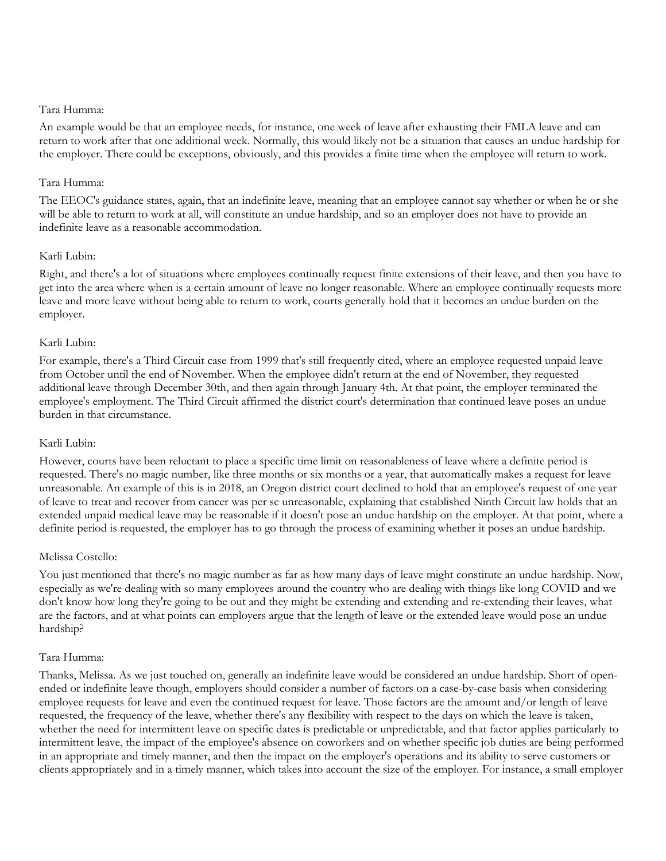## Tara Humma:

An example would be that an employee needs, for instance, one week of leave after exhausting their FMLA leave and can return to work after that one additional week. Normally, this would likely not be a situation that causes an undue hardship for the employer. There could be exceptions, obviously, and this provides a finite time when the employee will return to work.

## Tara Humma:

The EEOC's guidance states, again, that an indefinite leave, meaning that an employee cannot say whether or when he or she will be able to return to work at all, will constitute an undue hardship, and so an employer does not have to provide an indefinite leave as a reasonable accommodation.

## Karli Lubin:

Right, and there's a lot of situations where employees continually request finite extensions of their leave, and then you have to get into the area where when is a certain amount of leave no longer reasonable. Where an employee continually requests more leave and more leave without being able to return to work, courts generally hold that it becomes an undue burden on the employer.

## Karli Lubin:

For example, there's a Third Circuit case from 1999 that's still frequently cited, where an employee requested unpaid leave from October until the end of November. When the employee didn't return at the end of November, they requested additional leave through December 30th, and then again through January 4th. At that point, the employer terminated the employee's employment. The Third Circuit affirmed the district court's determination that continued leave poses an undue burden in that circumstance.

## Karli Lubin:

However, courts have been reluctant to place a specific time limit on reasonableness of leave where a definite period is requested. There's no magic number, like three months or six months or a year, that automatically makes a request for leave unreasonable. An example of this is in 2018, an Oregon district court declined to hold that an employee's request of one year of leave to treat and recover from cancer was per se unreasonable, explaining that established Ninth Circuit law holds that an extended unpaid medical leave may be reasonable if it doesn't pose an undue hardship on the employer. At that point, where a definite period is requested, the employer has to go through the process of examining whether it poses an undue hardship.

# Melissa Costello:

You just mentioned that there's no magic number as far as how many days of leave might constitute an undue hardship. Now, especially as we're dealing with so many employees around the country who are dealing with things like long COVID and we don't know how long they're going to be out and they might be extending and extending and re-extending their leaves, what are the factors, and at what points can employers argue that the length of leave or the extended leave would pose an undue hardship?

# Tara Humma:

Thanks, Melissa. As we just touched on, generally an indefinite leave would be considered an undue hardship. Short of openended or indefinite leave though, employers should consider a number of factors on a case-by-case basis when considering employee requests for leave and even the continued request for leave. Those factors are the amount and/or length of leave requested, the frequency of the leave, whether there's any flexibility with respect to the days on which the leave is taken, whether the need for intermittent leave on specific dates is predictable or unpredictable, and that factor applies particularly to intermittent leave, the impact of the employee's absence on coworkers and on whether specific job duties are being performed in an appropriate and timely manner, and then the impact on the employer's operations and its ability to serve customers or clients appropriately and in a timely manner, which takes into account the size of the employer. For instance, a small employer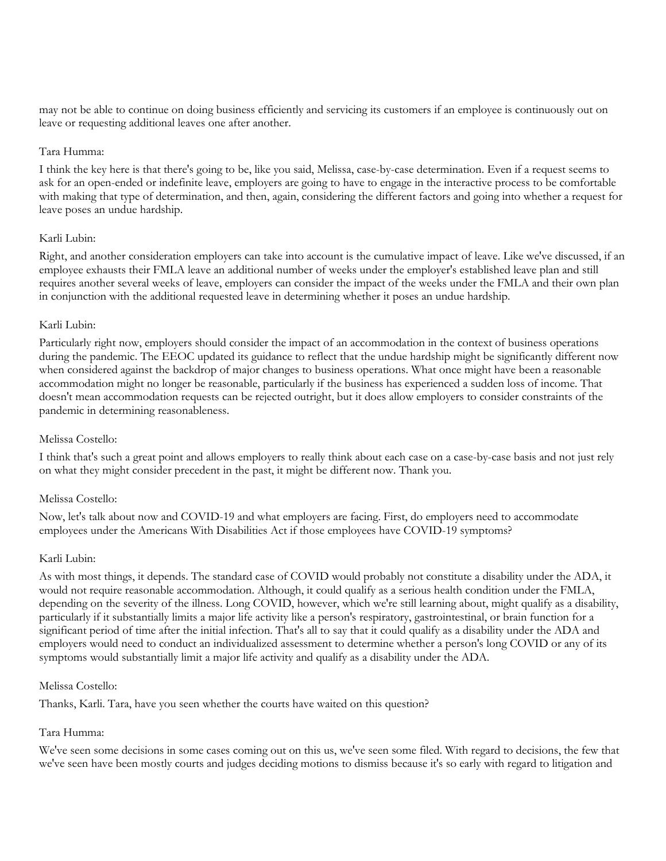may not be able to continue on doing business efficiently and servicing its customers if an employee is continuously out on leave or requesting additional leaves one after another.

## Tara Humma:

I think the key here is that there's going to be, like you said, Melissa, case-by-case determination. Even if a request seems to ask for an open-ended or indefinite leave, employers are going to have to engage in the interactive process to be comfortable with making that type of determination, and then, again, considering the different factors and going into whether a request for leave poses an undue hardship.

## Karli Lubin:

Right, and another consideration employers can take into account is the cumulative impact of leave. Like we've discussed, if an employee exhausts their FMLA leave an additional number of weeks under the employer's established leave plan and still requires another several weeks of leave, employers can consider the impact of the weeks under the FMLA and their own plan in conjunction with the additional requested leave in determining whether it poses an undue hardship.

## Karli Lubin:

Particularly right now, employers should consider the impact of an accommodation in the context of business operations during the pandemic. The EEOC updated its guidance to reflect that the undue hardship might be significantly different now when considered against the backdrop of major changes to business operations. What once might have been a reasonable accommodation might no longer be reasonable, particularly if the business has experienced a sudden loss of income. That doesn't mean accommodation requests can be rejected outright, but it does allow employers to consider constraints of the pandemic in determining reasonableness.

# Melissa Costello:

I think that's such a great point and allows employers to really think about each case on a case-by-case basis and not just rely on what they might consider precedent in the past, it might be different now. Thank you.

# Melissa Costello:

Now, let's talk about now and COVID-19 and what employers are facing. First, do employers need to accommodate employees under the Americans With Disabilities Act if those employees have COVID-19 symptoms?

#### Karli Lubin:

As with most things, it depends. The standard case of COVID would probably not constitute a disability under the ADA, it would not require reasonable accommodation. Although, it could qualify as a serious health condition under the FMLA, depending on the severity of the illness. Long COVID, however, which we're still learning about, might qualify as a disability, particularly if it substantially limits a major life activity like a person's respiratory, gastrointestinal, or brain function for a significant period of time after the initial infection. That's all to say that it could qualify as a disability under the ADA and employers would need to conduct an individualized assessment to determine whether a person's long COVID or any of its symptoms would substantially limit a major life activity and qualify as a disability under the ADA.

#### Melissa Costello:

Thanks, Karli. Tara, have you seen whether the courts have waited on this question?

# Tara Humma:

We've seen some decisions in some cases coming out on this us, we've seen some filed. With regard to decisions, the few that we've seen have been mostly courts and judges deciding motions to dismiss because it's so early with regard to litigation and